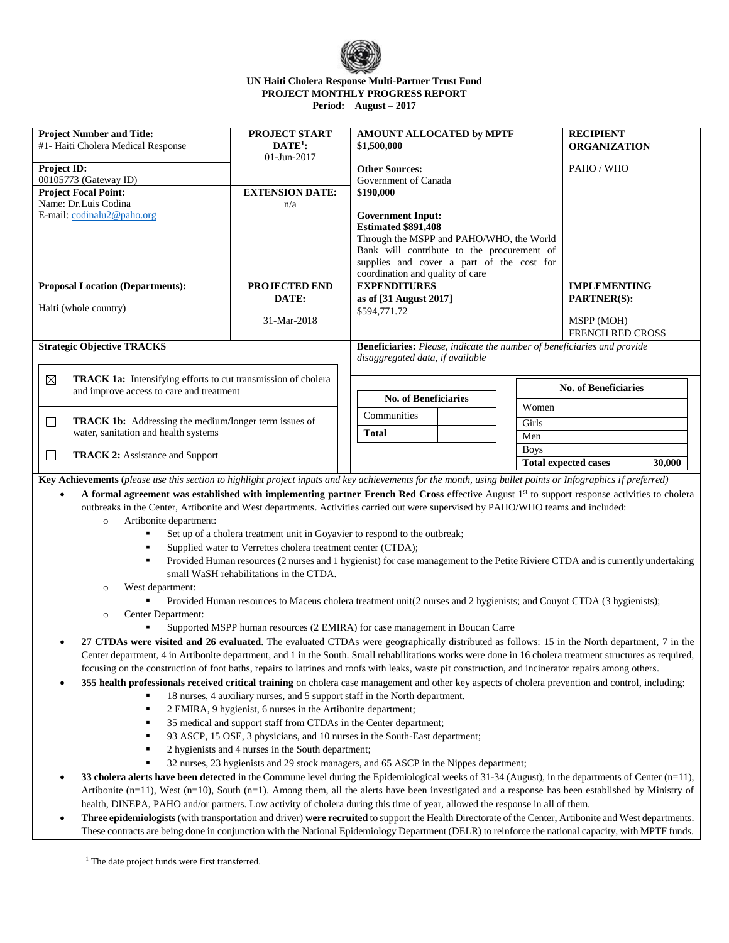

## **UN Haiti Cholera Response Multi-Partner Trust Fund PROJECT MONTHLY PROGRESS REPORT Period: August – 2017**

| <b>Project Number and Title:</b><br>#1- Haiti Cholera Medical Response                                                                                          |                                                                                                                                                             | <b>PROJECT START</b><br>$\mathbf{DATE}^1$ :                                                                                                | AMOUNT ALLOCATED by MPTF<br>\$1,500,000                                        |       | <b>RECIPIENT</b><br><b>ORGANIZATION</b> |                             |        |  |  |  |
|-----------------------------------------------------------------------------------------------------------------------------------------------------------------|-------------------------------------------------------------------------------------------------------------------------------------------------------------|--------------------------------------------------------------------------------------------------------------------------------------------|--------------------------------------------------------------------------------|-------|-----------------------------------------|-----------------------------|--------|--|--|--|
| <b>Project ID:</b>                                                                                                                                              |                                                                                                                                                             | 01-Jun-2017                                                                                                                                | <b>Other Sources:</b>                                                          |       | PAHO / WHO                              |                             |        |  |  |  |
| 00105773 (Gateway ID)                                                                                                                                           |                                                                                                                                                             |                                                                                                                                            | Government of Canada                                                           |       |                                         |                             |        |  |  |  |
| <b>Project Focal Point:</b>                                                                                                                                     |                                                                                                                                                             | <b>EXTENSION DATE:</b>                                                                                                                     | \$190,000                                                                      |       |                                         |                             |        |  |  |  |
| Name: Dr.Luis Codina<br>n/a                                                                                                                                     |                                                                                                                                                             |                                                                                                                                            |                                                                                |       |                                         |                             |        |  |  |  |
|                                                                                                                                                                 | E-mail: codinalu2@paho.org                                                                                                                                  |                                                                                                                                            | <b>Government Input:</b>                                                       |       |                                         |                             |        |  |  |  |
|                                                                                                                                                                 |                                                                                                                                                             |                                                                                                                                            | <b>Estimated \$891,408</b><br>Through the MSPP and PAHO/WHO, the World         |       |                                         |                             |        |  |  |  |
|                                                                                                                                                                 |                                                                                                                                                             |                                                                                                                                            | Bank will contribute to the procurement of                                     |       |                                         |                             |        |  |  |  |
|                                                                                                                                                                 |                                                                                                                                                             |                                                                                                                                            | supplies and cover a part of the cost for                                      |       |                                         |                             |        |  |  |  |
|                                                                                                                                                                 |                                                                                                                                                             |                                                                                                                                            | coordination and quality of care                                               |       |                                         |                             |        |  |  |  |
|                                                                                                                                                                 | <b>Proposal Location (Departments):</b>                                                                                                                     | PROJECTED END                                                                                                                              | <b>EXPENDITURES</b>                                                            |       |                                         | <b>IMPLEMENTING</b>         |        |  |  |  |
|                                                                                                                                                                 |                                                                                                                                                             | DATE:                                                                                                                                      | as of [31 August 2017]                                                         |       |                                         | <b>PARTNER(S):</b>          |        |  |  |  |
|                                                                                                                                                                 | Haiti (whole country)                                                                                                                                       |                                                                                                                                            | \$594,771.72                                                                   |       |                                         |                             |        |  |  |  |
|                                                                                                                                                                 |                                                                                                                                                             | 31-Mar-2018                                                                                                                                |                                                                                |       |                                         | MSPP (MOH)                  |        |  |  |  |
|                                                                                                                                                                 |                                                                                                                                                             |                                                                                                                                            |                                                                                |       |                                         | FRENCH RED CROSS            |        |  |  |  |
|                                                                                                                                                                 | <b>Strategic Objective TRACKS</b>                                                                                                                           |                                                                                                                                            | <b>Beneficiaries:</b> Please, indicate the number of beneficiaries and provide |       |                                         |                             |        |  |  |  |
|                                                                                                                                                                 |                                                                                                                                                             |                                                                                                                                            | disaggregated data, if available                                               |       |                                         |                             |        |  |  |  |
| $\boxtimes$                                                                                                                                                     | TRACK 1a: Intensifying efforts to cut transmission of cholera                                                                                               |                                                                                                                                            |                                                                                |       |                                         |                             |        |  |  |  |
| and improve access to care and treatment                                                                                                                        |                                                                                                                                                             |                                                                                                                                            |                                                                                |       |                                         | <b>No. of Beneficiaries</b> |        |  |  |  |
|                                                                                                                                                                 |                                                                                                                                                             | <b>No. of Beneficiaries</b>                                                                                                                |                                                                                | Women |                                         |                             |        |  |  |  |
| <b>TRACK 1b:</b> Addressing the medium/longer term issues of<br>$\Box$<br>water, sanitation and health systems                                                  |                                                                                                                                                             |                                                                                                                                            | Communities                                                                    |       | Girls                                   |                             |        |  |  |  |
|                                                                                                                                                                 |                                                                                                                                                             |                                                                                                                                            | <b>Total</b>                                                                   |       | Men                                     |                             |        |  |  |  |
|                                                                                                                                                                 |                                                                                                                                                             |                                                                                                                                            |                                                                                |       | <b>Boys</b>                             |                             |        |  |  |  |
| $\Box$<br><b>TRACK 2:</b> Assistance and Support                                                                                                                |                                                                                                                                                             |                                                                                                                                            |                                                                                |       |                                         | <b>Total expected cases</b> | 30,000 |  |  |  |
|                                                                                                                                                                 | Key Achievements (please use this section to highlight project inputs and key achievements for the month, using bullet points or Infographics if preferred) |                                                                                                                                            |                                                                                |       |                                         |                             |        |  |  |  |
| $\bullet$                                                                                                                                                       | A formal agreement was established with implementing partner French Red Cross effective August 1st to support response activities to cholera                |                                                                                                                                            |                                                                                |       |                                         |                             |        |  |  |  |
|                                                                                                                                                                 | outbreaks in the Center, Artibonite and West departments. Activities carried out were supervised by PAHO/WHO teams and included:                            |                                                                                                                                            |                                                                                |       |                                         |                             |        |  |  |  |
|                                                                                                                                                                 |                                                                                                                                                             |                                                                                                                                            |                                                                                |       |                                         |                             |        |  |  |  |
|                                                                                                                                                                 | Artibonite department:<br>$\circ$                                                                                                                           |                                                                                                                                            |                                                                                |       |                                         |                             |        |  |  |  |
|                                                                                                                                                                 |                                                                                                                                                             | Set up of a cholera treatment unit in Goyavier to respond to the outbreak;<br>Supplied water to Verrettes cholera treatment center (CTDA); |                                                                                |       |                                         |                             |        |  |  |  |
|                                                                                                                                                                 |                                                                                                                                                             |                                                                                                                                            |                                                                                |       |                                         |                             |        |  |  |  |
|                                                                                                                                                                 |                                                                                                                                                             | Provided Human resources (2 nurses and 1 hygienist) for case management to the Petite Riviere CTDA and is currently undertaking            |                                                                                |       |                                         |                             |        |  |  |  |
| small WaSH rehabilitations in the CTDA.                                                                                                                         |                                                                                                                                                             |                                                                                                                                            |                                                                                |       |                                         |                             |        |  |  |  |
|                                                                                                                                                                 | West department:<br>$\circ$                                                                                                                                 |                                                                                                                                            |                                                                                |       |                                         |                             |        |  |  |  |
| Provided Human resources to Maceus cholera treatment unit(2 nurses and 2 hygienists; and Couyot CTDA (3 hygienists);                                            |                                                                                                                                                             |                                                                                                                                            |                                                                                |       |                                         |                             |        |  |  |  |
|                                                                                                                                                                 | Center Department:<br>$\circ$                                                                                                                               | Supported MSPP human resources (2 EMIRA) for case management in Boucan Carre                                                               |                                                                                |       |                                         |                             |        |  |  |  |
|                                                                                                                                                                 |                                                                                                                                                             |                                                                                                                                            |                                                                                |       |                                         |                             |        |  |  |  |
| $\bullet$                                                                                                                                                       | 27 CTDAs were visited and 26 evaluated. The evaluated CTDAs were geographically distributed as follows: 15 in the North department, 7 in the                |                                                                                                                                            |                                                                                |       |                                         |                             |        |  |  |  |
|                                                                                                                                                                 | Center department, 4 in Artibonite department, and 1 in the South. Small rehabilitations works were done in 16 cholera treatment structures as required,    |                                                                                                                                            |                                                                                |       |                                         |                             |        |  |  |  |
|                                                                                                                                                                 | focusing on the construction of foot baths, repairs to latrines and roofs with leaks, waste pit construction, and incinerator repairs among others.         |                                                                                                                                            |                                                                                |       |                                         |                             |        |  |  |  |
| 355 health professionals received critical training on cholera case management and other key aspects of cholera prevention and control, including:<br>$\bullet$ |                                                                                                                                                             |                                                                                                                                            |                                                                                |       |                                         |                             |        |  |  |  |
| 18 nurses, 4 auxiliary nurses, and 5 support staff in the North department.                                                                                     |                                                                                                                                                             |                                                                                                                                            |                                                                                |       |                                         |                             |        |  |  |  |
| 2 EMIRA, 9 hygienist, 6 nurses in the Artibonite department;<br>٠                                                                                               |                                                                                                                                                             |                                                                                                                                            |                                                                                |       |                                         |                             |        |  |  |  |
|                                                                                                                                                                 | 35 medical and support staff from CTDAs in the Center department;<br>٠                                                                                      |                                                                                                                                            |                                                                                |       |                                         |                             |        |  |  |  |
| 93 ASCP, 15 OSE, 3 physicians, and 10 nurses in the South-East department;                                                                                      |                                                                                                                                                             |                                                                                                                                            |                                                                                |       |                                         |                             |        |  |  |  |
| 2 hygienists and 4 nurses in the South department;<br>٠                                                                                                         |                                                                                                                                                             |                                                                                                                                            |                                                                                |       |                                         |                             |        |  |  |  |

<sup>32</sup> nurses, 23 hygienists and 29 stock managers, and 65 ASCP in the Nippes department;

 **33 cholera alerts have been detected** in the Commune level during the Epidemiological weeks of 31-34 (August), in the departments of Center (n=11), Artibonite (n=11), West (n=10), South (n=1). Among them, all the alerts have been investigated and a response has been established by Ministry of health, DINEPA, PAHO and/or partners. Low activity of cholera during this time of year, allowed the response in all of them.

 **Three epidemiologists** (with transportation and driver) **were recruited** to support the Health Directorate of the Center, Artibonite and West departments. These contracts are being done in conjunction with the National Epidemiology Department (DELR) to reinforce the national capacity, with MPTF funds.

j <sup>1</sup> The date project funds were first transferred.